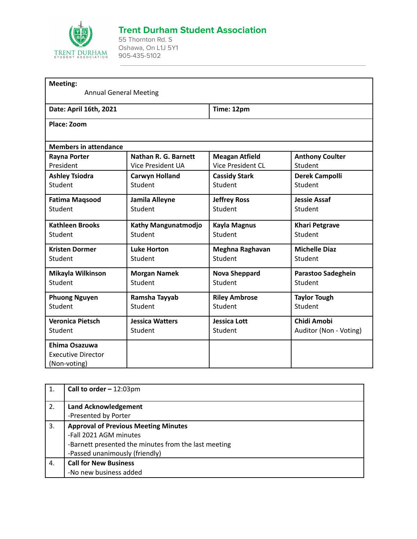

## **Trent Durham Student Association**

55 Thornton Rd. S Oshawa, On L1J 5Y1 905-435-5102

| Meeting:                     |                               |                          |                           |
|------------------------------|-------------------------------|--------------------------|---------------------------|
|                              | <b>Annual General Meeting</b> |                          |                           |
| Date: April 16th, 2021       |                               | Time: 12pm               |                           |
| Place: Zoom                  |                               |                          |                           |
| <b>Members in attendance</b> |                               |                          |                           |
| <b>Rayna Porter</b>          | <b>Nathan R. G. Barnett</b>   | <b>Meagan Atfield</b>    | <b>Anthony Coulter</b>    |
| President                    | <b>Vice President UA</b>      | <b>Vice President CL</b> | Student                   |
| <b>Ashley Tsiodra</b>        | <b>Carwyn Holland</b>         | <b>Cassidy Stark</b>     | <b>Derek Campolli</b>     |
| Student                      | Student                       | Student                  | Student                   |
| <b>Fatima Maqsood</b>        | Jamila Alleyne                | <b>Jeffrey Ross</b>      | <b>Jessie Assaf</b>       |
| Student                      | Student                       | Student                  | Student                   |
| <b>Kathleen Brooks</b>       | Kathy Mangunatmodjo           | <b>Kayla Magnus</b>      | <b>Khari Petgrave</b>     |
| Student                      | Student                       | Student                  | Student                   |
| <b>Kristen Dormer</b>        | <b>Luke Horton</b>            | Meghna Raghavan          | <b>Michelle Diaz</b>      |
| Student                      | Student                       | Student                  | Student                   |
| Mikayla Wilkinson            | <b>Morgan Namek</b>           | <b>Nova Sheppard</b>     | <b>Parastoo Sadeghein</b> |
| Student                      | Student                       | Student                  | Student                   |
| <b>Phuong Nguyen</b>         | Ramsha Tayyab                 | <b>Riley Ambrose</b>     | <b>Taylor Tough</b>       |
| Student                      | Student                       | Student                  | Student                   |
| <b>Veronica Pietsch</b>      | <b>Jessica Watters</b>        | <b>Jessica Lott</b>      | <b>Chidi Amobi</b>        |
| Student                      | Student                       | Student                  | Auditor (Non - Voting)    |
| Ehima Osazuwa                |                               |                          |                           |
| <b>Executive Director</b>    |                               |                          |                           |
| (Non-voting)                 |                               |                          |                           |

|    | <b>Call to order - 12:03pm</b>                       |  |  |
|----|------------------------------------------------------|--|--|
| 2. | <b>Land Acknowledgement</b>                          |  |  |
|    | -Presented by Porter                                 |  |  |
| 3. | <b>Approval of Previous Meeting Minutes</b>          |  |  |
|    | -Fall 2021 AGM minutes                               |  |  |
|    | -Barnett presented the minutes from the last meeting |  |  |
|    | -Passed unanimously (friendly)                       |  |  |
| 4. | <b>Call for New Business</b>                         |  |  |
|    | -No new business added                               |  |  |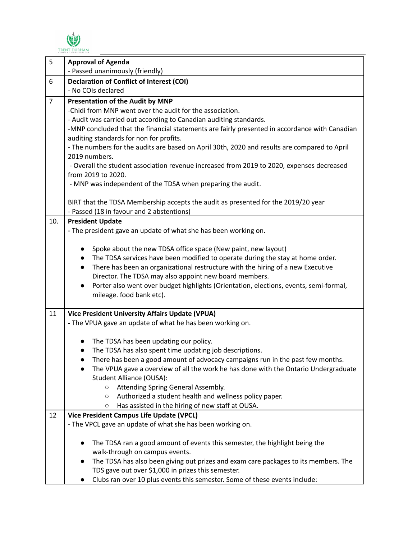

| 5              | <b>Approval of Agenda</b>                                                                     |  |  |  |  |
|----------------|-----------------------------------------------------------------------------------------------|--|--|--|--|
|                | - Passed unanimously (friendly)                                                               |  |  |  |  |
| 6              | <b>Declaration of Conflict of Interest (COI)</b>                                              |  |  |  |  |
|                | - No COIs declared                                                                            |  |  |  |  |
| $\overline{7}$ | Presentation of the Audit by MNP                                                              |  |  |  |  |
|                | -Chidi from MNP went over the audit for the association.                                      |  |  |  |  |
|                | - Audit was carried out according to Canadian auditing standards.                             |  |  |  |  |
|                | -MNP concluded that the financial statements are fairly presented in accordance with Canadian |  |  |  |  |
|                | auditing standards for non for profits.                                                       |  |  |  |  |
|                | - The numbers for the audits are based on April 30th, 2020 and results are compared to April  |  |  |  |  |
|                | 2019 numbers.                                                                                 |  |  |  |  |
|                | - Overall the student association revenue increased from 2019 to 2020, expenses decreased     |  |  |  |  |
|                | from 2019 to 2020.<br>- MNP was independent of the TDSA when preparing the audit.             |  |  |  |  |
|                |                                                                                               |  |  |  |  |
|                | BIRT that the TDSA Membership accepts the audit as presented for the 2019/20 year             |  |  |  |  |
|                | - Passed (18 in favour and 2 abstentions)                                                     |  |  |  |  |
| 10.            | <b>President Update</b>                                                                       |  |  |  |  |
|                | - The president gave an update of what she has been working on.                               |  |  |  |  |
|                |                                                                                               |  |  |  |  |
|                | Spoke about the new TDSA office space (New paint, new layout)                                 |  |  |  |  |
|                | The TDSA services have been modified to operate during the stay at home order.                |  |  |  |  |
|                | There has been an organizational restructure with the hiring of a new Executive<br>$\bullet$  |  |  |  |  |
|                | Director. The TDSA may also appoint new board members.                                        |  |  |  |  |
|                | Porter also went over budget highlights (Orientation, elections, events, semi-formal,         |  |  |  |  |
|                | mileage. food bank etc).                                                                      |  |  |  |  |
| 11             | <b>Vice President University Affairs Update (VPUA)</b>                                        |  |  |  |  |
|                | - The VPUA gave an update of what he has been working on.                                     |  |  |  |  |
|                |                                                                                               |  |  |  |  |
|                | The TDSA has been updating our policy.                                                        |  |  |  |  |
|                | The TDSA has also spent time updating job descriptions.                                       |  |  |  |  |
|                | There has been a good amount of advocacy campaigns run in the past few months.                |  |  |  |  |
|                | The VPUA gave a overview of all the work he has done with the Ontario Undergraduate           |  |  |  |  |
|                | Student Alliance (OUSA):                                                                      |  |  |  |  |
|                | Attending Spring General Assembly.<br>$\circ$                                                 |  |  |  |  |
|                | Authorized a student health and wellness policy paper.<br>$\circlearrowright$                 |  |  |  |  |
|                | Has assisted in the hiring of new staff at OUSA.<br>O                                         |  |  |  |  |
| 12             | <b>Vice President Campus Life Update (VPCL)</b>                                               |  |  |  |  |
|                | - The VPCL gave an update of what she has been working on.                                    |  |  |  |  |
|                | The TDSA ran a good amount of events this semester, the highlight being the                   |  |  |  |  |
|                | walk-through on campus events.                                                                |  |  |  |  |
|                | The TDSA has also been giving out prizes and exam care packages to its members. The           |  |  |  |  |
|                | TDS gave out over \$1,000 in prizes this semester.                                            |  |  |  |  |
|                | Clubs ran over 10 plus events this semester. Some of these events include:                    |  |  |  |  |